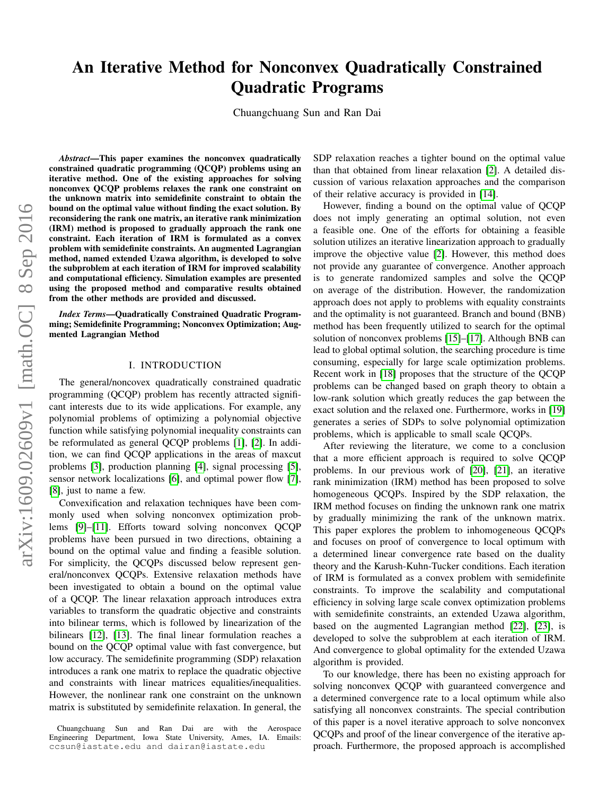# An Iterative Method for Nonconvex Quadratically Constrained Quadratic Programs

Chuangchuang Sun and Ran Dai

arXiv:1609.02609v1 [math.OC] 8 Sep 2016 arXiv:1609.02609v1 [math.OC] 8 Sep 2016

*Abstract*—This paper examines the nonconvex quadratically constrained quadratic programming (QCQP) problems using an iterative method. One of the existing approaches for solving nonconvex QCQP problems relaxes the rank one constraint on the unknown matrix into semidefinite constraint to obtain the bound on the optimal value without finding the exact solution. By reconsidering the rank one matrix, an iterative rank minimization (IRM) method is proposed to gradually approach the rank one constraint. Each iteration of IRM is formulated as a convex problem with semidefinite constraints. An augmented Lagrangian method, named extended Uzawa algorithm, is developed to solve the subproblem at each iteration of IRM for improved scalability and computational efficiency. Simulation examples are presented using the proposed method and comparative results obtained from the other methods are provided and discussed.

*Index Terms*—Quadratically Constrained Quadratic Programming; Semidefinite Programming; Nonconvex Optimization; Augmented Lagrangian Method

## I. INTRODUCTION

The general/noncovex quadratically constrained quadratic programming (QCQP) problem has recently attracted significant interests due to its wide applications. For example, any polynomial problems of optimizing a polynomial objective function while satisfying polynomial inequality constraints can be reformulated as general QCQP problems [\[1\]](#page-6-0), [\[2\]](#page-6-1). In addition, we can find QCQP applications in the areas of maxcut problems [\[3\]](#page-6-2), production planning [\[4\]](#page-6-3), signal processing [\[5\]](#page-6-4), sensor network localizations [\[6\]](#page-6-5), and optimal power flow [\[7\]](#page-6-6), [\[8\]](#page-6-7), just to name a few.

Convexification and relaxation techniques have been commonly used when solving nonconvex optimization problems [\[9\]](#page-6-8)–[\[11\]](#page-6-9). Efforts toward solving nonconvex QCQP problems have been pursued in two directions, obtaining a bound on the optimal value and finding a feasible solution. For simplicity, the QCQPs discussed below represent general/nonconvex QCQPs. Extensive relaxation methods have been investigated to obtain a bound on the optimal value of a QCQP. The linear relaxation approach introduces extra variables to transform the quadratic objective and constraints into bilinear terms, which is followed by linearization of the bilinears [\[12\]](#page-6-10), [\[13\]](#page-6-11). The final linear formulation reaches a bound on the QCQP optimal value with fast convergence, but low accuracy. The semidefinite programming (SDP) relaxation introduces a rank one matrix to replace the quadratic objective and constraints with linear matrices equalities/inequalities. However, the nonlinear rank one constraint on the unknown matrix is substituted by semidefinite relaxation. In general, the SDP relaxation reaches a tighter bound on the optimal value than that obtained from linear relaxation [\[2\]](#page-6-1). A detailed discussion of various relaxation approaches and the comparison of their relative accuracy is provided in [\[14\]](#page-6-12).

However, finding a bound on the optimal value of QCQP does not imply generating an optimal solution, not even a feasible one. One of the efforts for obtaining a feasible solution utilizes an iterative linearization approach to gradually improve the objective value [\[2\]](#page-6-1). However, this method does not provide any guarantee of convergence. Another approach is to generate randomized samples and solve the QCQP on average of the distribution. However, the randomization approach does not apply to problems with equality constraints and the optimality is not guaranteed. Branch and bound (BNB) method has been frequently utilized to search for the optimal solution of nonconvex problems [\[15\]](#page-6-13)–[\[17\]](#page-6-14). Although BNB can lead to global optimal solution, the searching procedure is time consuming, especially for large scale optimization problems. Recent work in [\[18\]](#page-6-15) proposes that the structure of the QCQP problems can be changed based on graph theory to obtain a low-rank solution which greatly reduces the gap between the exact solution and the relaxed one. Furthermore, works in [\[19\]](#page-6-16) generates a series of SDPs to solve polynomial optimization problems, which is applicable to small scale QCQPs.

After reviewing the literature, we come to a conclusion that a more efficient approach is required to solve QCQP problems. In our previous work of [\[20\]](#page-6-17), [\[21\]](#page-6-18), an iterative rank minimization (IRM) method has been proposed to solve homogeneous QCQPs. Inspired by the SDP relaxation, the IRM method focuses on finding the unknown rank one matrix by gradually minimizing the rank of the unknown matrix. This paper explores the problem to inhomogeneous QCQPs and focuses on proof of convergence to local optimum with a determined linear convergence rate based on the duality theory and the Karush-Kuhn-Tucker conditions. Each iteration of IRM is formulated as a convex problem with semidefinite constraints. To improve the scalability and computational efficiency in solving large scale convex optimization problems with semidefinite constraints, an extended Uzawa algorithm, based on the augmented Lagrangian method [\[22\]](#page-6-19), [\[23\]](#page-6-20), is developed to solve the subproblem at each iteration of IRM. And convergence to global optimality for the extended Uzawa algorithm is provided.

To our knowledge, there has been no existing approach for solving nonconvex QCQP with guaranteed convergence and a determined convergence rate to a local optimum while also satisfying all nonconvex constraints. The special contribution of this paper is a novel iterative approach to solve nonconvex QCQPs and proof of the linear convergence of the iterative approach. Furthermore, the proposed approach is accomplished

Chuangchuang Sun and Ran Dai are with the Aerospace Engineering Department, Iowa State University, Ames, IA. Emails: ccsun@iastate.edu and dairan@iastate.edu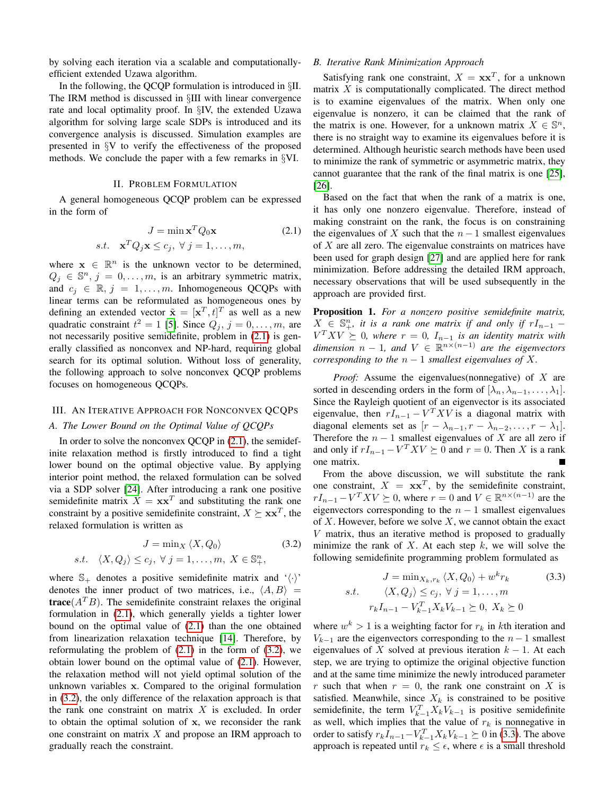by solving each iteration via a scalable and computationallyefficient extended Uzawa algorithm.

In the following, the QCQP formulation is introduced in §II. The IRM method is discussed in §III with linear convergence rate and local optimality proof. In §IV, the extended Uzawa algorithm for solving large scale SDPs is introduced and its convergence analysis is discussed. Simulation examples are presented in §V to verify the effectiveness of the proposed methods. We conclude the paper with a few remarks in §VI.

## II. PROBLEM FORMULATION

A general homogeneous QCQP problem can be expressed in the form of

<span id="page-1-0"></span>
$$
J = \min \mathbf{x}^T Q_0 \mathbf{x}
$$
 (2.1)  
s.t. 
$$
\mathbf{x}^T Q_j \mathbf{x} \le c_j, \forall j = 1, ..., m,
$$

where  $\mathbf{x} \in \mathbb{R}^n$  is the unknown vector to be determined,  $Q_j \in \mathbb{S}^n$ ,  $j = 0, \ldots, m$ , is an arbitrary symmetric matrix, and  $c_i \in \mathbb{R}, j = 1, \ldots, m$ . Inhomogeneous QCQPs with linear terms can be reformulated as homogeneous ones by defining an extended vector  $\tilde{\mathbf{x}} = [\mathbf{x}^T, t]^T$  as well as a new quadratic constraint  $t^2 = 1$  [\[5\]](#page-6-4). Since  $Q_j$ ,  $j = 0, \ldots, m$ , are not necessarily positive semidefinite, problem in [\(2.1\)](#page-1-0) is generally classified as nonconvex and NP-hard, requiring global search for its optimal solution. Without loss of generality, the following approach to solve nonconvex QCQP problems focuses on homogeneous QCQPs.

## III. AN ITERATIVE APPROACH FOR NONCONVEX QCQPS

## *A. The Lower Bound on the Optimal Value of QCQPs*

In order to solve the nonconvex QCQP in [\(2.1\)](#page-1-0), the semidefinite relaxation method is firstly introduced to find a tight lower bound on the optimal objective value. By applying interior point method, the relaxed formulation can be solved via a SDP solver [\[24\]](#page-6-21). After introducing a rank one positive semidefinite matrix  $X = xx^T$  and substituting the rank one constraint by a positive semidefinite constraint,  $X \succeq \mathbf{x} \mathbf{x}^T$ , the relaxed formulation is written as

$$
J = \min_{X} \langle X, Q_0 \rangle \tag{3.2}
$$

<span id="page-1-1"></span>
$$
s.t. \langle X, Q_j \rangle \leq c_j, \ \forall \ j = 1, \dots, m, \ X \in \mathbb{S}^n_+,
$$

where  $\mathbb{S}_+$  denotes a positive semidefinite matrix and ' $\langle \cdot \rangle$ ' denotes the inner product of two matrices, i.e.,  $\langle A, B \rangle =$ **trace**( $A^T B$ ). The semidefinite constraint relaxes the original formulation in [\(2.1\)](#page-1-0), which generally yields a tighter lower bound on the optimal value of [\(2.1\)](#page-1-0) than the one obtained from linearization relaxation technique [\[14\]](#page-6-12). Therefore, by reformulating the problem of  $(2.1)$  in the form of  $(3.2)$ , we obtain lower bound on the optimal value of [\(2.1\)](#page-1-0). However, the relaxation method will not yield optimal solution of the unknown variables x. Compared to the original formulation in [\(3.2\)](#page-1-1), the only difference of the relaxation approach is that the rank one constraint on matrix  $X$  is excluded. In order to obtain the optimal solution of x, we reconsider the rank one constraint on matrix  $X$  and propose an IRM approach to gradually reach the constraint.

### *B. Iterative Rank Minimization Approach*

Satisfying rank one constraint,  $X = xx^T$ , for a unknown matrix  $X$  is computationally complicated. The direct method is to examine eigenvalues of the matrix. When only one eigenvalue is nonzero, it can be claimed that the rank of the matrix is one. However, for a unknown matrix  $X \in \mathbb{S}^n$ , there is no straight way to examine its eigenvalues before it is determined. Although heuristic search methods have been used to minimize the rank of symmetric or asymmetric matrix, they cannot guarantee that the rank of the final matrix is one [\[25\]](#page-6-22), [\[26\]](#page-6-23).

Based on the fact that when the rank of a matrix is one, it has only one nonzero eigenvalue. Therefore, instead of making constraint on the rank, the focus is on constraining the eigenvalues of X such that the  $n-1$  smallest eigenvalues of X are all zero. The eigenvalue constraints on matrices have been used for graph design [\[27\]](#page-6-24) and are applied here for rank minimization. Before addressing the detailed IRM approach, necessary observations that will be used subsequently in the approach are provided first.

Proposition 1. *For a nonzero positive semidefinite matrix,*  $X \in \mathbb{S}_{+}^{n}$ , it is a rank one matrix if and only if  $rI_{n-1}$  –  $V^T X V \succeq 0$ , where  $r = 0$ ,  $I_{n-1}$  is an identity matrix with  $dimension \t n - 1$ *, and*  $V \in \mathbb{R}^{n \times (n-1)}$  *are the eigenvectors corresponding to the*  $n - 1$  *smallest eigenvalues of*  $X$ *.* 

*Proof:* Assume the eigenvalues(nonnegative) of X are sorted in descending orders in the form of  $[\lambda_n, \lambda_{n-1}, \ldots, \lambda_1]$ . Since the Rayleigh quotient of an eigenvector is its associated eigenvalue, then  $rI_{n-1} - V^T X V$  is a diagonal matrix with diagonal elements set as  $[r - \lambda_{n-1}, r - \lambda_{n-2}, \ldots, r - \lambda_1].$ Therefore the  $n - 1$  smallest eigenvalues of X are all zero if and only if  $rI_{n-1} - V^T X V \succeq 0$  and  $r = 0$ . Then X is a rank one matrix.

From the above discussion, we will substitute the rank one constraint,  $X = xx^T$ , by the semidefinite constraint,  $rI_{n-1} - V^T X V \succeq 0$ , where  $r = 0$  and  $V \in \mathbb{R}^{n \times (n-1)}$  are the eigenvectors corresponding to the  $n - 1$  smallest eigenvalues of X. However, before we solve X, we cannot obtain the exact  $V$  matrix, thus an iterative method is proposed to gradually minimize the rank of  $X$ . At each step  $k$ , we will solve the following semidefinite programming problem formulated as

<span id="page-1-2"></span>
$$
J = \min_{X_k, r_k} \langle X, Q_0 \rangle + w^k r_k \qquad (3.3)
$$
  
s.t. 
$$
\langle X, Q_j \rangle \le c_j, \ \forall \ j = 1, \dots, m
$$

$$
r_k I_{n-1} - V_{k-1}^T X_k V_{k-1} \succeq 0, \ X_k \succeq 0
$$

where  $w^k > 1$  is a weighting factor for  $r_k$  in kth iteration and  $V_{k-1}$  are the eigenvectors corresponding to the  $n-1$  smallest eigenvalues of X solved at previous iteration  $k - 1$ . At each step, we are trying to optimize the original objective function and at the same time minimize the newly introduced parameter r such that when  $r = 0$ , the rank one constraint on X is satisfied. Meanwhile, since  $X_k$  is constrained to be positive semidefinite, the term  $V_{k-1}^T X_k V_{k-1}$  is positive semidefinite as well, which implies that the value of  $r_k$  is nonnegative in order to satisfy  $r_k I_{n-1} - V_{k-1}^T X_k V_{k-1} \succeq 0$  in [\(3.3\)](#page-1-2). The above approach is repeated until  $r_k \leq \epsilon$ , where  $\epsilon$  is a small threshold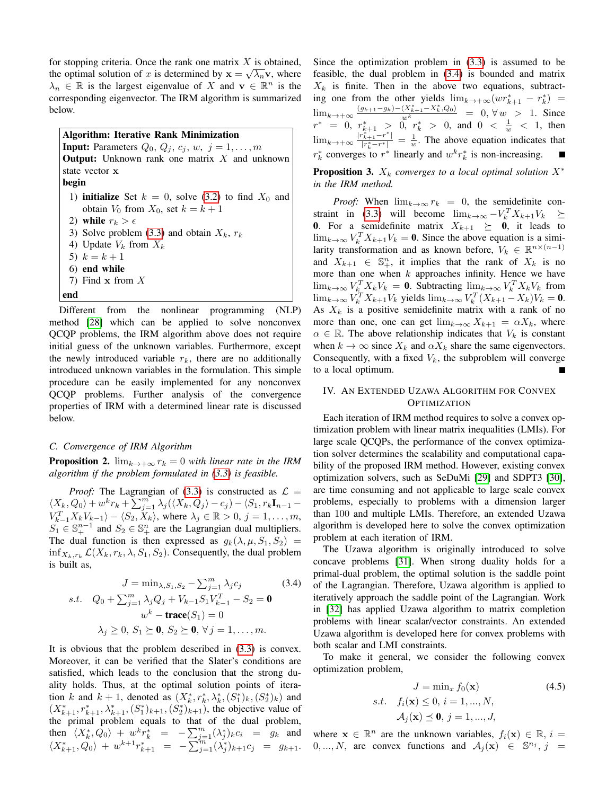for stopping criteria. Once the rank one matrix  $X$  is obtained, the optimal solution of x is determined by  $\mathbf{x} = \sqrt{\lambda_n} \mathbf{v}$ , where  $\lambda_n \in \mathbb{R}$  is the largest eigenvalue of X and  $\mathbf{v} \in \mathbb{R}^n$  is the corresponding eigenvector. The IRM algorithm is summarized below.

Algorithm: Iterative Rank Minimization **Input:** Parameters  $Q_0, Q_j, c_j, w, j = 1, \ldots, m$ **Output:** Unknown rank one matrix  $X$  and unknown state vector x begin 1) **initialize** Set  $k = 0$ , solve [\(3.2\)](#page-1-1) to find  $X_0$  and obtain  $V_0$  from  $X_0$ , set  $k = k + 1$ 2) while  $r_k > \epsilon$ 3) Solve problem [\(3.3\)](#page-1-2) and obtain  $X_k$ ,  $r_k$ 4) Update  $V_k$  from  $X_k$ 5)  $k = k + 1$ 6) end while 7) Find x from X end

Different from the nonlinear programming (NLP) method [\[28\]](#page-6-25) which can be applied to solve nonconvex QCQP problems, the IRM algorithm above does not require initial guess of the unknown variables. Furthermore, except the newly introduced variable  $r_k$ , there are no additionally introduced unknown variables in the formulation. This simple procedure can be easily implemented for any nonconvex QCQP problems. Further analysis of the convergence properties of IRM with a determined linear rate is discussed below.

## *C. Convergence of IRM Algorithm*

**Proposition 2.**  $\lim_{k\to+\infty} r_k = 0$  *with linear rate in the IRM algorithm if the problem formulated in [\(3.3\)](#page-1-2) is feasible.*

*Proof:* The Lagrangian of [\(3.3\)](#page-1-2) is constructed as  $\mathcal{L} =$  $\langle X_k, Q_0 \rangle + w^k r_k + \sum_{j=1}^m \lambda_j (\langle X_k, Q_j \rangle - c_j) - \langle S_1, r_k \mathbf{I}_{n-1} V_{k-1}^T X_k V_{k-1} \rangle - \langle S_2, X_k \rangle$ , where  $\lambda_j \in \mathbb{R} > 0, j = 1, \dots, m$ ,  $S_1 \in \mathbb{S}^{n-1}_+$  and  $S_2 \in \mathbb{S}^n_+$  are the Lagrangian dual multipliers. The dual function is then expressed as  $g_k(\lambda, \mu, S_1, S_2)$  =  $\inf_{X_k, r_k} \mathcal{L}(X_k, r_k, \lambda, S_1, S_2)$ . Consequently, the dual problem is built as,

<span id="page-2-0"></span>
$$
J = \min_{\lambda, S_1, S_2} - \sum_{j=1}^{m} \lambda_j c_j
$$
(3.4)  
s.t.  $Q_0 + \sum_{j=1}^{m} \lambda_j Q_j + V_{k-1} S_1 V_{k-1}^T - S_2 = \mathbf{0}$   
 $w^k - \mathbf{trace}(S_1) = 0$   
 $\lambda_j \ge 0, S_1 \ge \mathbf{0}, S_2 \ge \mathbf{0}, \forall j = 1, ..., m.$ 

It is obvious that the problem described in [\(3.3\)](#page-1-2) is convex. Moreover, it can be verified that the Slater's conditions are satisfied, which leads to the conclusion that the strong duality holds. Thus, at the optimal solution points of iteration k and  $k + 1$ , denoted as  $(X_k^*, r_k^*, \lambda_k^*, (S_1^*)_k, (S_2^*)_k)$  and  $(X_{k+1}^*, r_{k+1}^*, \lambda_{k+1}^*, (S_1^*)_{k+1}, (S_2^*)_{k+1})$ , the objective value of the primal problem equals to that of the dual problem, then  $\langle X_k^*, \overline{Q_0} \rangle + w^k r_k^* = - \sum_{j=1}^m (\lambda_j^*)_k c_i = g_k$  and  $\langle X^*_{k+1}, Q_0 \rangle + w^{k+1} r^*_{k+1} = - \overline{\sum_{j=1}^{m}} (\lambda^*_j)_{k+1} c_j = g_{k+1}.$  Since the optimization problem in [\(3.3\)](#page-1-2) is assumed to be feasible, the dual problem in [\(3.4\)](#page-2-0) is bounded and matrix  $X_k$  is finite. Then in the above two equations, subtracting one from the other yields  $\lim_{k \to +\infty} (wr_{k+1}^* - r_k^*) =$  $\lim_{k \to +\infty} \frac{(g_{k+1}-g_k)-\langle X^*_{k+1}-X^*_{k},Q_0\rangle}{w^k}$  = 0, ∀w > 1. Since  $r^* = 0, r_{k+1}^* > 0, r_k^* > 0, \text{ and } 0 < \frac{1}{w} < 1, \text{ then}$  $\lim_{k \to +\infty} \frac{|r_{k+1}^{*} - r^{*}|}{|r_{k}^{*} - r^{*}|}$  $\frac{r_{k+1}-r}{|r_k^*-r^*|} = \frac{1}{w}$ . The above equation indicates that  $r_k^*$  converges to  $r^*$  linearly and  $w^k r_k^*$  is non-increasing.

**Proposition 3.**  $X_k$  *converges to a local optimal solution*  $X^*$ *in the IRM method.*

*Proof:* When  $\lim_{k\to\infty} r_k = 0$ , the semidefinite con-straint in [\(3.3\)](#page-1-2) will become  $\lim_{k \to \infty} -V_k^T X_{k+1} V_k \geq$ **0.** For a semidefinite matrix  $X_{k+1} \geq 0$ , it leads to  $\lim_{k\to\infty} V_k^T X_{k+1} V_k = 0$ . Since the above equation is a similarity transformation and as known before,  $V_k \in \mathbb{R}^{n \times (n-1)}$ and  $X_{k+1} \in \mathbb{S}^n_+$ , it implies that the rank of  $X_k$  is no more than one when  $k$  approaches infinity. Hence we have  $\lim_{k\to\infty} V_{k}^T X_k V_k = 0$ . Subtracting  $\lim_{k\to\infty} V_k^T X_k V_k$  from  $\lim_{k \to \infty} V_k^T X_{k+1} V_k$  yields  $\lim_{k \to \infty} V_k^T (X_{k+1} - X_k) V_k = 0$ . As  $X_k$  is a positive semidefinite matrix with a rank of no more than one, one can get  $\lim_{k\to\infty} X_{k+1} = \alpha X_k$ , where  $\alpha \in \mathbb{R}$ . The above relationship indicates that  $V_k$  is constant when  $k \to \infty$  since  $X_k$  and  $\alpha X_k$  share the same eigenvectors. Consequently, with a fixed  $V_k$ , the subproblem will converge to a local optimum.

## IV. AN EXTENDED UZAWA ALGORITHM FOR CONVEX **OPTIMIZATION**

Each iteration of IRM method requires to solve a convex optimization problem with linear matrix inequalities (LMIs). For large scale QCQPs, the performance of the convex optimization solver determines the scalability and computational capability of the proposed IRM method. However, existing convex optimization solvers, such as SeDuMi [\[29\]](#page-6-26) and SDPT3 [\[30\]](#page-6-27), are time consuming and not applicable to large scale convex problems, especially to problems with a dimension larger than 100 and multiple LMIs. Therefore, an extended Uzawa algorithm is developed here to solve the convex optimization problem at each iteration of IRM.

The Uzawa algorithm is originally introduced to solve concave problems [\[31\]](#page-6-28). When strong duality holds for a primal-dual problem, the optimal solution is the saddle point of the Lagrangian. Therefore, Uzawa algorithm is applied to iteratively approach the saddle point of the Lagrangian. Work in [\[32\]](#page-6-29) has applied Uzawa algorithm to matrix completion problems with linear scalar/vector constraints. An extended Uzawa algorithm is developed here for convex problems with both scalar and LMI constraints.

To make it general, we consider the following convex optimization problem,

<span id="page-2-1"></span>
$$
J = \min_{x} f_0(\mathbf{x})
$$
 (4.5)  
s.t.  $f_i(\mathbf{x}) \le 0, i = 1, ..., N,$   
 $\mathcal{A}_j(\mathbf{x}) \le \mathbf{0}, j = 1, ..., J,$ 

where  $\mathbf{x} \in \mathbb{R}^n$  are the unknown variables,  $f_i(\mathbf{x}) \in \mathbb{R}$ ,  $i =$  $0, ..., N$ , are convex functions and  $\mathcal{A}_j(\mathbf{x}) \in \mathbb{S}^{n_j}, j =$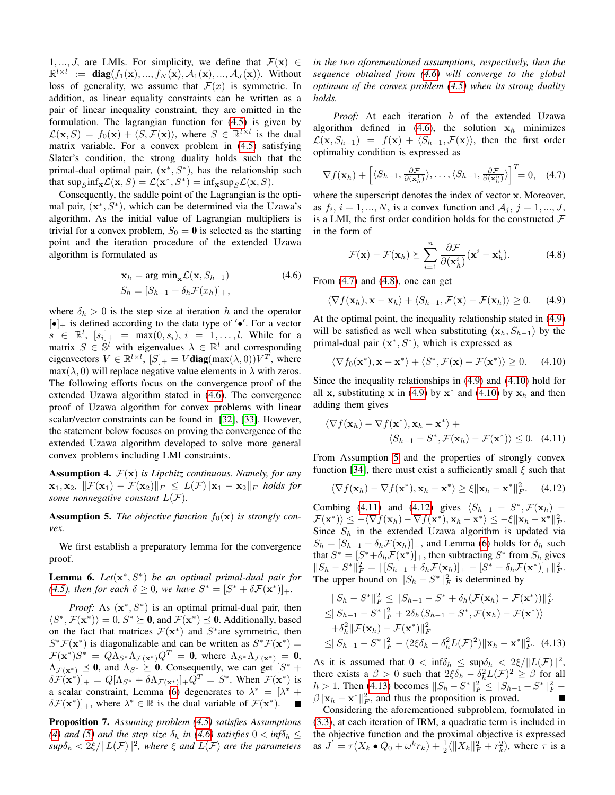1, ..., J, are LMIs. For simplicity, we define that  $\mathcal{F}(\mathbf{x}) \in$  $\mathbb{R}^{l \times l} := \text{diag}(f_1(\mathbf{x}), ..., f_N(\mathbf{x}), \mathcal{A}_1(\mathbf{x}), ..., \mathcal{A}_N(\mathbf{x}))$ . Without loss of generality, we assume that  $\mathcal{F}(x)$  is symmetric. In addition, as linear equality constraints can be written as a pair of linear inequality constraint, they are omitted in the formulation. The lagrangian function for [\(4.5\)](#page-2-1) is given by  $\mathcal{L}(\mathbf{x}, S) = f_0(\mathbf{x}) + \langle S, \mathcal{F}(\mathbf{x}) \rangle$ , where  $S \in \mathbb{R}^{l \times l}$  is the dual matrix variable. For a convex problem in [\(4.5\)](#page-2-1) satisfying Slater's condition, the strong duality holds such that the primal-dual optimal pair,  $(x^*, S^*)$ , has the relationship such that  $\sup_{S} \inf_{\mathbf{x}} \mathcal{L}(\mathbf{x}, S) = \mathcal{L}(\mathbf{x}^*, S^*) = \inf_{\mathbf{x}} \sup_{S} \mathcal{L}(\mathbf{x}, S).$ 

Consequently, the saddle point of the Lagrangian is the optimal pair,  $(x^*, S^*)$ , which can be determined via the Uzawa's algorithm. As the initial value of Lagrangian multipliers is trivial for a convex problem,  $S_0 = 0$  is selected as the starting point and the iteration procedure of the extended Uzawa algorithm is formulated as

<span id="page-3-0"></span>
$$
\mathbf{x}_h = \arg\min_{\mathbf{x}} \mathcal{L}(\mathbf{x}, S_{h-1})
$$
\n
$$
S_h = [S_{h-1} + \delta_h \mathcal{F}(x_h)]_+,
$$
\n(4.6)

where  $\delta_h > 0$  is the step size at iteration h and the operator  $[\bullet]_+$  is defined according to the data type of ' $\bullet'$ . For a vector  $s \in \mathbb{R}^l$ ,  $[s_i]_+ = \max(0, s_i), i = 1, ..., l$ . While for a matrix  $S \in \mathbb{S}^l$  with eigenvalues  $\lambda \in \mathbb{R}^l$  and corresponding eigenvectors  $V \in \mathbb{R}^{l \times l}$ ,  $[S]_+ = V$ **diag** $(\max(\lambda, 0))V^T$ , where  $max(\lambda, 0)$  will replace negative value elements in  $\lambda$  with zeros. The following efforts focus on the convergence proof of the extended Uzawa algorithm stated in [\(4.6\)](#page-3-0). The convergence proof of Uzawa algorithm for convex problems with linear scalar/vector constraints can be found in [\[32\]](#page-6-29), [\[33\]](#page-6-30). However, the statement below focuses on proving the convergence of the extended Uzawa algorithm developed to solve more general convex problems including LMI constraints.

<span id="page-3-2"></span>**Assumption 4.**  $\mathcal{F}(\mathbf{x})$  *is Lipchitz continuous. Namely, for any*  $\mathbf{x}_1, \mathbf{x}_2, \|\mathcal{F}(\mathbf{x}_1) - \mathcal{F}(\mathbf{x}_2)\|_F \leq L(\mathcal{F}) \|\mathbf{x}_1 - \mathbf{x}_2\|_F$  holds for *some nonnegative constant*  $L(F)$ *.* 

<span id="page-3-3"></span>**Assumption 5.** The objective function  $f_0(\mathbf{x})$  is strongly con*vex.*

We first establish a preparatory lemma for the convergence proof.

<span id="page-3-1"></span>Lemma 6. *Let*(x ∗ , S<sup>∗</sup> ) *be an optimal primal-dual pair for [\(4.5\)](#page-2-1), then for each*  $\delta \ge 0$ *, we have*  $S^* = [S^* + \delta \mathcal{F}(\mathbf{x}^*)]_+$ *.* 

*Proof:* As  $(x^*, S^*)$  is an optimal primal-dual pair, then  $\langle S^*, \mathcal{F}(\mathbf{x}^*) \rangle = 0, S^* \succeq \mathbf{0}$ , and  $\mathcal{F}(\mathbf{x}^*) \preceq \mathbf{0}$ . Additionally, based on the fact that matrices  $\mathcal{F}(\mathbf{x}^*)$  and  $S^*$  are symmetric, then  $S^* \mathcal{F}(\mathbf{x}^*)$  is diagonalizable and can be written as  $S^* \mathcal{F}(\mathbf{x}^*)$  =  $\mathcal{F}(\mathbf{x}^*)S^* = Q\Lambda_{S^*}\Lambda_{\mathcal{F}(\mathbf{x}^*)}Q^T = \mathbf{0}$ , where  $\Lambda_{S^*}\Lambda_{\mathcal{F}(\mathbf{x}^*)} = \mathbf{0}$ ,  $\Lambda_{\mathcal{F}(\mathbf{x}^*)} \preceq \mathbf{0}$ , and  $\Lambda_{S^*} \succeq \mathbf{0}$ . Consequently, we can get  $[S^* +]$  $\delta \mathcal{F}(\mathbf{x}^*)$ <sub>+</sub> =  $Q[\Lambda_{S^*} + \delta \Lambda_{\mathcal{F}(\mathbf{x}^*)}]$ + $Q^T = S^*$ . When  $\mathcal{F}(\mathbf{x}^*)$  is a scalar constraint, Lemma [\(6\)](#page-3-1) degenerates to  $\lambda^* = [\lambda^* +$  $\delta \mathcal{F}(\mathbf{x}^*)$ ]<sub>+</sub>, where  $\lambda^* \in \mathbb{R}$  is the dual variable of  $\mathcal{F}(\mathbf{x}^*)$ . П

Proposition 7. *Assuming problem [\(4.5\)](#page-2-1) satisfies Assumptions* [\(4\)](#page-3-2) and [\(5\)](#page-3-3) and the step size  $\delta_h$  in [\(4.6\)](#page-3-0) satisfies  $0 < \inf \delta_h \leq$  $sup\delta_h < 2\xi / ||L(\mathcal{F})||^2$ , where  $\xi$  and  $L(\mathcal{F})$  are the parameters *in the two aforementioned assumptions, respectively, then the sequence obtained from [\(4.6\)](#page-3-0) will converge to the global optimum of the convex problem [\(4.5\)](#page-2-1) when its strong duality holds.*

*Proof:* At each iteration h of the extended Uzawa algorithm defined in [\(4.6\)](#page-3-0), the solution  $x<sub>h</sub>$  minimizes  $\mathcal{L}(\mathbf{x}, S_{h-1}) = f(\mathbf{x}) + \langle S_{h-1}, \mathcal{F}(\mathbf{x}) \rangle$ , then the first order optimality condition is expressed as

<span id="page-3-4"></span>
$$
\nabla f(\mathbf{x}_h) + \left[ \langle S_{h-1}, \frac{\partial \mathcal{F}}{\partial(\mathbf{x}_h^1)} \rangle, \dots, \langle S_{h-1}, \frac{\partial \mathcal{F}}{\partial(\mathbf{x}_h^n)} \rangle \right]^T = 0, \quad (4.7)
$$

where the superscript denotes the index of vector x. Moreover, as  $f_i$ ,  $i = 1, ..., N$ , is a convex function and  $A_j$ ,  $j = 1, ..., J$ , is a LMI, the first order condition holds for the constructed  $\mathcal F$ in the form of

<span id="page-3-5"></span>
$$
\mathcal{F}(\mathbf{x}) - \mathcal{F}(\mathbf{x}_h) \succeq \sum_{i=1}^n \frac{\partial \mathcal{F}}{\partial(\mathbf{x}_h^i)} (\mathbf{x}^i - \mathbf{x}_h^i).
$$
 (4.8)

From [\(4.7\)](#page-3-4) and [\(4.8\)](#page-3-5), one can get

<span id="page-3-6"></span>
$$
\langle \nabla f(\mathbf{x}_h), \mathbf{x} - \mathbf{x}_h \rangle + \langle S_{h-1}, \mathcal{F}(\mathbf{x}) - \mathcal{F}(\mathbf{x}_h) \rangle \ge 0. \quad (4.9)
$$

At the optimal point, the inequality relationship stated in [\(4.9\)](#page-3-6) will be satisfied as well when substituting  $(\mathbf{x}_h, S_{h-1})$  by the primal-dual pair  $(x^*, S^*)$ , which is expressed as

<span id="page-3-7"></span>
$$
\langle \nabla f_0(\mathbf{x}^*), \mathbf{x} - \mathbf{x}^* \rangle + \langle S^*, \mathcal{F}(\mathbf{x}) - \mathcal{F}(\mathbf{x}^*) \rangle \ge 0. \quad (4.10)
$$

Since the inequality relationships in [\(4.9\)](#page-3-6) and [\(4.10\)](#page-3-7) hold for all x, substituting x in [\(4.9\)](#page-3-6) by  $x^*$  and [\(4.10\)](#page-3-7) by  $x_h$  and then adding them gives

<span id="page-3-8"></span>
$$
\langle \nabla f(\mathbf{x}_h) - \nabla f(\mathbf{x}^*), \mathbf{x}_h - \mathbf{x}^* \rangle + \langle S_{h-1} - S^*, \mathcal{F}(\mathbf{x}_h) - \mathcal{F}(\mathbf{x}^*) \rangle \le 0.
$$
 (4.11)

From Assumption [5](#page-3-3) and the properties of strongly convex function [\[34\]](#page-6-31), there must exist a sufficiently small  $\xi$  such that

<span id="page-3-9"></span>
$$
\langle \nabla f(\mathbf{x}_h) - \nabla f(\mathbf{x}^*), \mathbf{x}_h - \mathbf{x}^* \rangle \ge \xi \|\mathbf{x}_h - \mathbf{x}^*\|_F^2. \quad (4.12)
$$

Combing [\(4.11\)](#page-3-8) and [\(4.12\)](#page-3-9) gives  $\langle S_{h-1} - S^*, \mathcal{F}(\mathbf{x}_h) \mathcal{F}(\mathbf{x}^*)\rangle \le -\langle \nabla f(\mathbf{x}_h) - \nabla f(\mathbf{x}^*), \mathbf{x}_h - \mathbf{x}^* \rangle \le -\xi \|\mathbf{x}_h - \mathbf{x}^*\|_F^2.$ Since  $S_h$  in the extended Uzawa algorithm is updated via  $S_h = [S_{h-1} + \delta_h \mathcal{F}(\mathbf{x}_h)]_+$ , and Lemma [\(6\)](#page-3-1) holds for  $\delta_h$  such that  $S^* = [S^* + \delta_h \mathcal{F}(\mathbf{x}^*)]_+$ , then subtracting  $S^*$  from  $S_h$  gives  $||S_h - S^*||_F^2 = ||[S_{h-1} + \delta_h \mathcal{F}(\mathbf{x}_h)]_+ - [S^* + \delta_h \mathcal{F}(\mathbf{x}^*)]_+ ||_F^2.$ The upper bound on  $||S_h - S^*||_F^2$  is determined by

<span id="page-3-10"></span>
$$
||S_h - S^*||_F^2 \le ||S_{h-1} - S^* + \delta_h(\mathcal{F}(\mathbf{x}_h) - \mathcal{F}(\mathbf{x}^*))||_F^2
$$
  
\n
$$
\le ||S_{h-1} - S^*||_F^2 + 2\delta_h \langle S_{h-1} - S^*, \mathcal{F}(\mathbf{x}_h) - \mathcal{F}(\mathbf{x}^*) \rangle
$$
  
\n
$$
+ \delta_h^2 ||\mathcal{F}(\mathbf{x}_h) - \mathcal{F}(\mathbf{x}^*)||_F^2
$$
  
\n
$$
\le ||S_{h-1} - S^*||_F^2 - (2\xi \delta_h - \delta_h^2 L(\mathcal{F})^2) ||\mathbf{x}_h - \mathbf{x}^*||_F^2.
$$
 (4.13)

As it is assumed that  $0 < \inf_{h} \leq \sup_{h} \delta_h < 2\xi / ||L(\mathcal{F})||^2$ , there exists a  $\beta > 0$  such that  $2\xi \delta_h - \delta_h^2 L(\mathcal{F})^2 \ge \beta$  for all  $h > 1$ . Then [\(4.13\)](#page-3-10) becomes  $||S_h - S^*||_F^2 \le ||S_{h-1} - S^*||_F^2$  –  $\beta \|\mathbf{x}_h - \mathbf{x}^*\|_F^2$ , and thus the proposition is proved.  $\blacksquare$ 

Considering the aforementioned subproblem, formulated in [\(3.3\)](#page-1-2), at each iteration of IRM, a quadratic term is included in the objective function and the proximal objective is expressed as  $J = \tau(X_k \bullet Q_0 + \omega^k r_k) + \frac{1}{2} (\|X_k\|_F^2 + r_k^2)$ , where  $\tau$  is a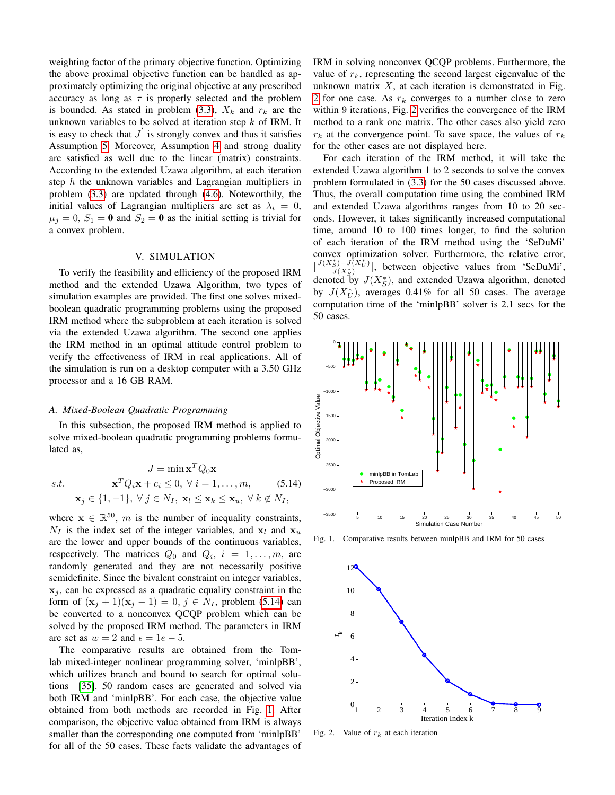weighting factor of the primary objective function. Optimizing the above proximal objective function can be handled as approximately optimizing the original objective at any prescribed accuracy as long as  $\tau$  is properly selected and the problem is bounded. As stated in problem [\(3.3\)](#page-1-2),  $X_k$  and  $r_k$  are the unknown variables to be solved at iteration step  $k$  of IRM. It is easy to check that  $J'$  is strongly convex and thus it satisfies Assumption [5.](#page-3-3) Moreover, Assumption [4](#page-3-2) and strong duality are satisfied as well due to the linear (matrix) constraints. According to the extended Uzawa algorithm, at each iteration step  $h$  the unknown variables and Lagrangian multipliers in problem [\(3.3\)](#page-1-2) are updated through [\(4.6\)](#page-3-0). Noteworthily, the initial values of Lagrangian multipliers are set as  $\lambda_i = 0$ ,  $\mu_j = 0$ ,  $S_1 = \mathbf{0}$  and  $S_2 = \mathbf{0}$  as the initial setting is trivial for a convex problem.

## V. SIMULATION

To verify the feasibility and efficiency of the proposed IRM method and the extended Uzawa Algorithm, two types of simulation examples are provided. The first one solves mixedboolean quadratic programming problems using the proposed IRM method where the subproblem at each iteration is solved via the extended Uzawa algorithm. The second one applies the IRM method in an optimal attitude control problem to verify the effectiveness of IRM in real applications. All of the simulation is run on a desktop computer with a 3.50 GHz processor and a 16 GB RAM.

#### *A. Mixed-Boolean Quadratic Programming*

In this subsection, the proposed IRM method is applied to solve mixed-boolean quadratic programming problems formulated as,

<span id="page-4-0"></span>
$$
J = \min \mathbf{x}^{T} Q_{0} \mathbf{x}
$$
  
s.t. 
$$
\mathbf{x}^{T} Q_{i} \mathbf{x} + c_{i} \leq 0, \forall i = 1,..., m, \qquad (5.14)
$$

$$
\mathbf{x}_{j} \in \{1, -1\}, \forall j \in N_{I}, \mathbf{x}_{l} \leq \mathbf{x}_{k} \leq \mathbf{x}_{u}, \forall k \notin N_{I},
$$

where  $\mathbf{x} \in \mathbb{R}^{50}$ , m is the number of inequality constraints,  $N_I$  is the index set of the integer variables, and  $x_l$  and  $x_u$ are the lower and upper bounds of the continuous variables, respectively. The matrices  $Q_0$  and  $Q_i$ ,  $i = 1, \ldots, m$ , are randomly generated and they are not necessarily positive semidefinite. Since the bivalent constraint on integer variables,  $x_j$ , can be expressed as a quadratic equality constraint in the form of  $({\bf x}_i + 1)({\bf x}_i - 1) = 0$ ,  $j \in N_I$ , problem [\(5.14\)](#page-4-0) can be converted to a nonconvex QCQP problem which can be solved by the proposed IRM method. The parameters in IRM are set as  $w = 2$  and  $\epsilon = 1e - 5$ .

The comparative results are obtained from the Tomlab mixed-integer nonlinear programming solver, 'minlpBB', which utilizes branch and bound to search for optimal solutions [\[35\]](#page-6-32). 50 random cases are generated and solved via both IRM and 'minlpBB'. For each case, the objective value obtained from both methods are recorded in Fig. [1.](#page-4-1) After comparison, the objective value obtained from IRM is always smaller than the corresponding one computed from 'minlpBB' for all of the 50 cases. These facts validate the advantages of IRM in solving nonconvex QCQP problems. Furthermore, the value of  $r_k$ , representing the second largest eigenvalue of the unknown matrix  $X$ , at each iteration is demonstrated in Fig. [2](#page-4-2) for one case. As  $r_k$  converges to a number close to zero within 9 iterations, Fig. [2](#page-4-2) verifies the convergence of the IRM method to a rank one matrix. The other cases also yield zero  $r_k$  at the convergence point. To save space, the values of  $r_k$ for the other cases are not displayed here.

For each iteration of the IRM method, it will take the extended Uzawa algorithm 1 to 2 seconds to solve the convex problem formulated in [\(3.3\)](#page-1-2) for the 50 cases discussed above. Thus, the overall computation time using the combined IRM and extended Uzawa algorithms ranges from 10 to 20 seconds. However, it takes significantly increased computational time, around 10 to 100 times longer, to find the solution of each iteration of the IRM method using the 'SeDuMi' convex optimization solver. Furthermore, the relative error, |  $\frac{J(X^*_S) - J(X^*_U)}{J(X^*_S)}$ , between objective values from 'SeDuMi', denoted by  $J(X_{S}^{*})$ , and extended Uzawa algorithm, denoted by  $J(X_U^*)$ , averages 0.41% for all 50 cases. The average computation time of the 'minlpBB' solver is 2.1 secs for the 50 cases.



Fig. 1. Comparative results between minlpBB and IRM for 50 cases

<span id="page-4-1"></span>

<span id="page-4-2"></span>Fig. 2. Value of  $r_k$  at each iteration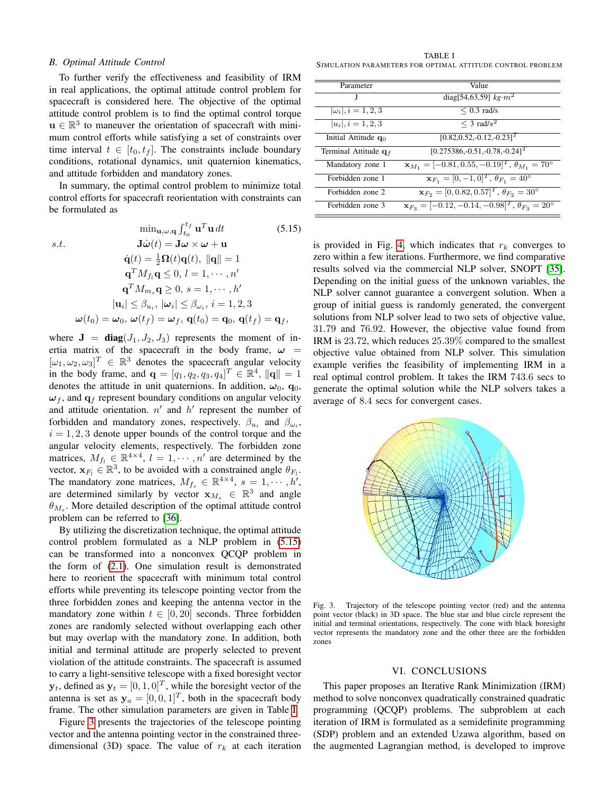### *B. Optimal Attitude Control*

To further verify the effectiveness and feasibility of IRM in real applications, the optimal attitude control problem for spacecraft is considered here. The objective of the optimal attitude control problem is to find the optimal control torque  $u \in \mathbb{R}^3$  to maneuver the orientation of spacecraft with minimum control efforts while satisfying a set of constraints over time interval  $t \in [t_0, t_f]$ . The constraints include boundary conditions, rotational dynamics, unit quaternion kinematics, and attitude forbidden and mandatory zones.

In summary, the optimal control problem to minimize total control efforts for spacecraft reorientation with constraints can be formulated as

 $\delta$ 

<span id="page-5-0"></span>
$$
\min_{\mathbf{u}, \omega, \mathbf{q}} \int_{t_0}^{t_f} \mathbf{u}^T \mathbf{u} dt
$$
(5.15)  
s.t.  

$$
\mathbf{J}\dot{\omega}(t) = \mathbf{J}\omega \times \omega + \mathbf{u}
$$

$$
\dot{\mathbf{q}}(t) = \frac{1}{2}\Omega(t)\mathbf{q}(t), ||\mathbf{q}|| = 1
$$

$$
\mathbf{q}^T M_{fi} \mathbf{q} \le 0, l = 1, \cdots, n'
$$

$$
\mathbf{q}^T M_{m_s} \mathbf{q} \ge 0, s = 1, \cdots, h'
$$

$$
|\mathbf{u}_i| \le \beta_{u_i}, |\omega_i| \le \beta_{\omega_i}, i = 1, 2, 3
$$

$$
\omega(t_0) = \omega_0, \omega(t_f) = \omega_f, \mathbf{q}(t_0) = \mathbf{q}_0, \mathbf{q}(t_f) = \mathbf{q}_f,
$$

where  $J = diag(J_1, J_2, J_3)$  represents the moment of inertia matrix of the spacecraft in the body frame,  $\omega$  =  $[\omega_1, \omega_2, \omega_3]^T \in \mathbb{R}^3$  denotes the spacecraft angular velocity in the body frame, and  $\mathbf{q} = [q_1, q_2, q_3, q_4]^T \in \mathbb{R}^4$ ,  $\|\mathbf{q}\| = 1$ denotes the attitude in unit quaternions. In addition,  $\omega_0$ ,  $\mathbf{q}_0$ ,  $\omega_f$ , and  $q_f$  represent boundary conditions on angular velocity and attitude orientation.  $n'$  and  $h'$  represent the number of forbidden and mandatory zones, respectively.  $\beta_{u_i}$  and  $\beta_{\omega_i}$ ,  $i = 1, 2, 3$  denote upper bounds of the control torque and the angular velocity elements, respectively. The forbidden zone matrices,  $M_{f_l} \in \mathbb{R}^{4 \times 4}$ ,  $l = 1, \dots, n'$  are determined by the vector,  $\mathbf{x}_{F_l} \in \mathbb{R}^3$ , to be avoided with a constrained angle  $\theta_{F_l}$ . The mandatory zone matrices,  $M_{f_s} \in \mathbb{R}^{4 \times 4}$ ,  $s = 1, \dots, h'$ , are determined similarly by vector  $\mathbf{x}_{M_s} \in \mathbb{R}^3$  and angle  $\theta_{M_s}$ . More detailed description of the optimal attitude control problem can be referred to [\[36\]](#page-6-33).

By utilizing the discretization technique, the optimal attitude control problem formulated as a NLP problem in [\(5.15\)](#page-5-0) can be transformed into a nonconvex QCQP problem in the form of [\(2.1\)](#page-1-0). One simulation result is demonstrated here to reorient the spacecraft with minimum total control efforts while preventing its telescope pointing vector from the three forbidden zones and keeping the antenna vector in the mandatory zone within  $t \in [0, 20]$  seconds. Three forbidden zones are randomly selected without overlapping each other but may overlap with the mandatory zone. In addition, both initial and terminal attitude are properly selected to prevent violation of the attitude constraints. The spacecraft is assumed to carry a light-sensitive telescope with a fixed boresight vector  $y_t$ , defined as  $y_t = [0, 1, 0]^T$ , while the boresight vector of the antenna is set as  $y_a = [0, 0, 1]^T$ , both in the spacecraft body frame. The other simulation parameters are given in Table [I.](#page-5-1)

Figure [3](#page-5-2) presents the trajectories of the telescope pointing vector and the antenna pointing vector in the constrained threedimensional (3D) space. The value of  $r_k$  at each iteration

<span id="page-5-1"></span>TABLE I SIMULATION PARAMETERS FOR OPTIMAL ATTITUDE CONTROL PROBLEM

| Parameter                 | Value                                                                    |
|---------------------------|--------------------------------------------------------------------------|
| J                         | diag[54,63,59] $kg·m2$                                                   |
| $ \omega_i , i = 1, 2, 3$ | $< 0.3$ rad/s                                                            |
| $ u_i , i = 1, 2, 3$      | $\leq$ 3 rad/s <sup>2</sup>                                              |
| Initial Attitude $q_0$    | $[0.82, 0.52, -0.12, -0.23]^{T}$                                         |
| Terminal Attitude $q_f$   | $[0.275386, -0.51, -0.78, -0.24]$ <sup>T</sup>                           |
| Mandatory zone 1          | $\mathbf{x}_{M_1} = [-0.81, 0.55, -0.19]^T, \theta_{M_1} = 70^{\circ}$   |
| Forbidden zone 1          | $\mathbf{x}_{F_1} = [0, -1, 0]^T$ , $\theta_{F_1} = 40^\circ$            |
| Forbidden zone 2          | $\mathbf{x}_{F_2} = [0, 0.82, 0.57]^T, \theta_{F_2} = 30^{\circ}$        |
| Forbidden zone 3          | $\mathbf{x}_{F_3} = [-0.12, -0.14, -0.98]^T$ , $\theta_{F_3} = 20^\circ$ |

is provided in Fig. [4,](#page-6-34) which indicates that  $r_k$  converges to zero within a few iterations. Furthermore, we find comparative results solved via the commercial NLP solver, SNOPT [\[35\]](#page-6-32). Depending on the initial guess of the unknown variables, the NLP solver cannot guarantee a convergent solution. When a group of initial guess is randomly generated, the convergent solutions from NLP solver lead to two sets of objective value, 31.79 and 76.92. However, the objective value found from IRM is 23.72, which reduces 25.39% compared to the smallest objective value obtained from NLP solver. This simulation example verifies the feasibility of implementing IRM in a real optimal control problem. It takes the IRM 743.6 secs to generate the optimal solution while the NLP solvers takes a average of 8.4 secs for convergent cases.



<span id="page-5-2"></span>Fig. 3. Trajectory of the telescope pointing vector (red) and the antenna point vector (black) in 3D space. The blue star and blue circle represent the initial and terminal orientations, respectively. The cone with black boresight vector represents the mandatory zone and the other three are the forbidden zones

#### VI. CONCLUSIONS

This paper proposes an Iterative Rank Minimization (IRM) method to solve nonconvex quadratically constrained quadratic programming (QCQP) problems. The subproblem at each iteration of IRM is formulated as a semidefinite programming (SDP) problem and an extended Uzawa algorithm, based on the augmented Lagrangian method, is developed to improve